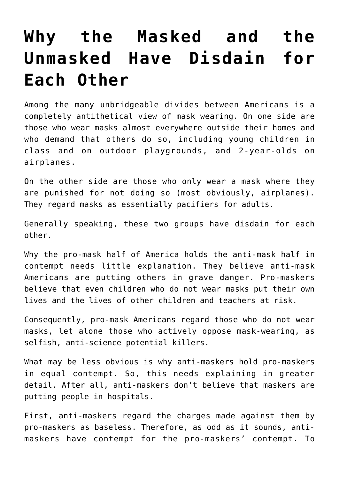## **[Why the Masked and the](https://bernardgoldberg.com/why-the-masked-and-the-unmasked-have-disdain-for-each-other/) [Unmasked Have Disdain for](https://bernardgoldberg.com/why-the-masked-and-the-unmasked-have-disdain-for-each-other/) [Each Other](https://bernardgoldberg.com/why-the-masked-and-the-unmasked-have-disdain-for-each-other/)**

Among the many unbridgeable divides between Americans is a completely antithetical view of mask wearing. On one side are those who wear masks almost everywhere outside their homes and who demand that others do so, including young children in class and on outdoor playgrounds, and 2-year-olds on airplanes.

On the other side are those who only wear a mask where they are punished for not doing so (most obviously, airplanes). They regard masks as essentially pacifiers for adults.

Generally speaking, these two groups have disdain for each other.

Why the pro-mask half of America holds the anti-mask half in contempt needs little explanation. They believe anti-mask Americans are putting others in grave danger. Pro-maskers believe that even children who do not wear masks put their own lives and the lives of other children and teachers at risk.

Consequently, pro-mask Americans regard those who do not wear masks, let alone those who actively oppose mask-wearing, as selfish, anti-science potential killers.

What may be less obvious is why anti-maskers hold pro-maskers in equal contempt. So, this needs explaining in greater detail. After all, anti-maskers don't believe that maskers are putting people in hospitals.

First, anti-maskers regard the charges made against them by pro-maskers as baseless. Therefore, as odd as it sounds, antimaskers have contempt for the pro-maskers' contempt. To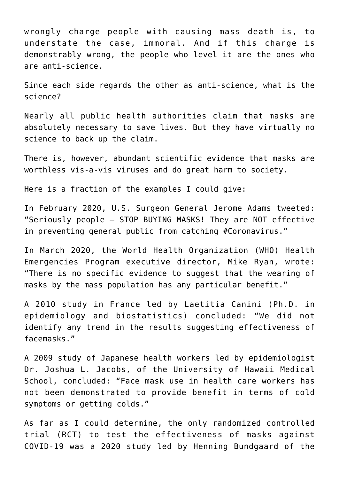wrongly charge people with causing mass death is, to understate the case, immoral. And if this charge is demonstrably wrong, the people who level it are the ones who are anti-science.

Since each side regards the other as anti-science, what is the science?

Nearly all public health authorities claim that masks are absolutely necessary to save lives. But they have virtually no science to back up the claim.

There is, however, abundant scientific evidence that masks are worthless vis-a-vis viruses and do great harm to society.

Here is a fraction of the examples I could give:

In February 2020, U.S. Surgeon General Jerome Adams tweeted: "Seriously people — STOP BUYING MASKS! They are NOT effective in preventing general public from catching #Coronavirus."

In March 2020, the World Health Organization (WHO) Health Emergencies Program executive director, Mike Ryan, wrote: "There is no specific evidence to suggest that the wearing of masks by the mass population has any particular benefit."

A 2010 study in France led by Laetitia Canini (Ph.D. in epidemiology and biostatistics) concluded: "We did not identify any trend in the results suggesting effectiveness of facemasks."

A 2009 study of Japanese health workers led by epidemiologist Dr. Joshua L. Jacobs, of the University of Hawaii Medical School, concluded: "Face mask use in health care workers has not been demonstrated to provide benefit in terms of cold symptoms or getting colds."

As far as I could determine, the only randomized controlled trial (RCT) to test the effectiveness of masks against COVID-19 was a 2020 study led by Henning Bundgaard of the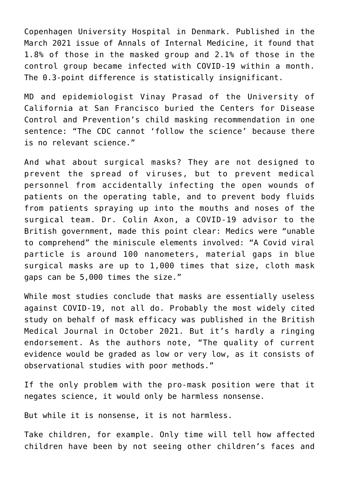Copenhagen University Hospital in Denmark. Published in the March 2021 issue of Annals of Internal Medicine, it found that 1.8% of those in the masked group and 2.1% of those in the control group became infected with COVID-19 within a month. The 0.3-point difference is statistically insignificant.

MD and epidemiologist Vinay Prasad of the University of California at San Francisco buried the Centers for Disease Control and Prevention's child masking recommendation in one sentence: "The CDC cannot 'follow the science' because there is no relevant science."

And what about surgical masks? They are not designed to prevent the spread of viruses, but to prevent medical personnel from accidentally infecting the open wounds of patients on the operating table, and to prevent body fluids from patients spraying up into the mouths and noses of the surgical team. Dr. Colin Axon, a COVID-19 advisor to the British government, made this point clear: Medics were "unable to comprehend" the miniscule elements involved: "A Covid viral particle is around 100 nanometers, material gaps in blue surgical masks are up to 1,000 times that size, cloth mask gaps can be 5,000 times the size."

While most studies conclude that masks are essentially useless against COVID-19, not all do. Probably the most widely cited study on behalf of mask efficacy was published in the British Medical Journal in October 2021. But it's hardly a ringing endorsement. As the authors note, "The quality of current evidence would be graded as low or very low, as it consists of observational studies with poor methods."

If the only problem with the pro-mask position were that it negates science, it would only be harmless nonsense.

But while it is nonsense, it is not harmless.

Take children, for example. Only time will tell how affected children have been by not seeing other children's faces and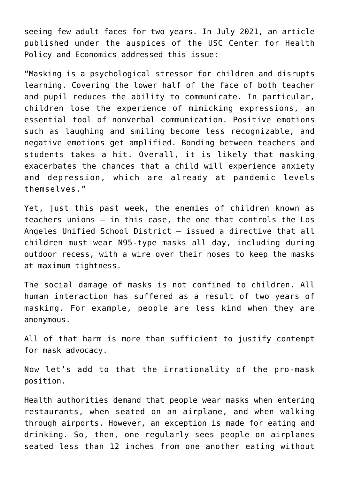seeing few adult faces for two years. In July 2021, an article published under the auspices of the USC Center for Health Policy and Economics addressed this issue:

"Masking is a psychological stressor for children and disrupts learning. Covering the lower half of the face of both teacher and pupil reduces the ability to communicate. In particular, children lose the experience of mimicking expressions, an essential tool of nonverbal communication. Positive emotions such as laughing and smiling become less recognizable, and negative emotions get amplified. Bonding between teachers and students takes a hit. Overall, it is likely that masking exacerbates the chances that a child will experience anxiety and depression, which are already at pandemic levels themselves."

Yet, just this past week, the enemies of children known as teachers unions — in this case, the one that controls the Los Angeles Unified School District — issued a directive that all children must wear N95-type masks all day, including during outdoor recess, with a wire over their noses to keep the masks at maximum tightness.

The social damage of masks is not confined to children. All human interaction has suffered as a result of two years of masking. For example, people are less kind when they are anonymous.

All of that harm is more than sufficient to justify contempt for mask advocacy.

Now let's add to that the irrationality of the pro-mask position.

Health authorities demand that people wear masks when entering restaurants, when seated on an airplane, and when walking through airports. However, an exception is made for eating and drinking. So, then, one regularly sees people on airplanes seated less than 12 inches from one another eating without